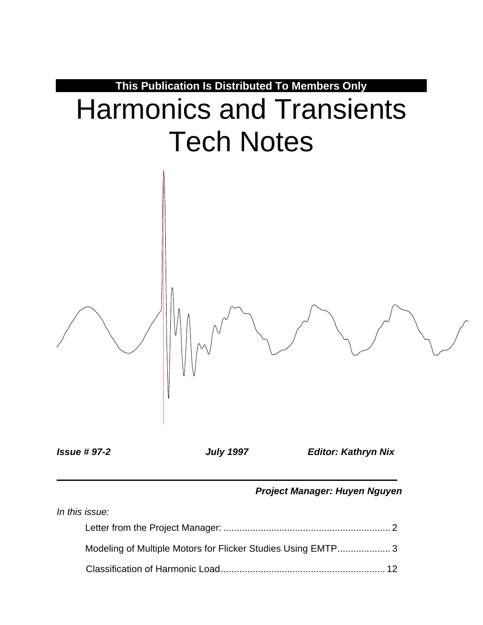

*Issue # 97-2 July 1997 Editor: Kathryn Nix*

*Project Manager: Huyen Nguyen*

| In this issue: |                                                             |  |
|----------------|-------------------------------------------------------------|--|
|                |                                                             |  |
|                | Modeling of Multiple Motors for Flicker Studies Using EMTP3 |  |
|                |                                                             |  |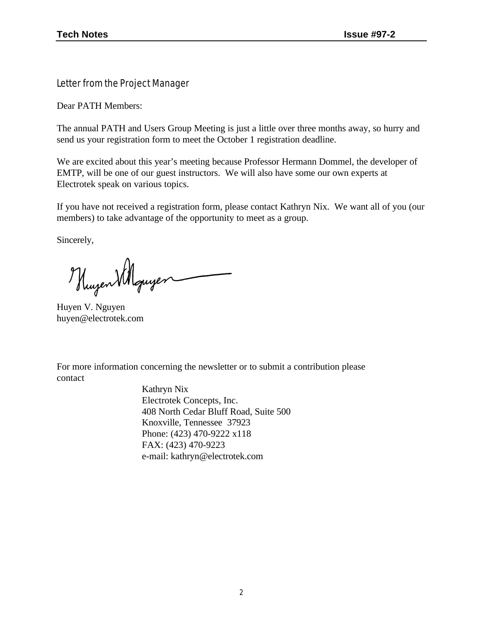Letter from the Project Manager

Dear PATH Members:

The annual PATH and Users Group Meeting is just a little over three months away, so hurry and send us your registration form to meet the October 1 registration deadline.

We are excited about this year's meeting because Professor Hermann Dommel, the developer of EMTP, will be one of our guest instructors. We will also have some our own experts at Electrotek speak on various topics.

If you have not received a registration form, please contact Kathryn Nix. We want all of you (our members) to take advantage of the opportunity to meet as a group.

Sincerely,

Hugen Williquiger

Huyen V. Nguyen huyen@electrotek.com

For more information concerning the newsletter or to submit a contribution please contact

> Kathryn Nix Electrotek Concepts, Inc. 408 North Cedar Bluff Road, Suite 500 Knoxville, Tennessee 37923 Phone: (423) 470-9222 x118 FAX: (423) 470-9223 e-mail: kathryn@electrotek.com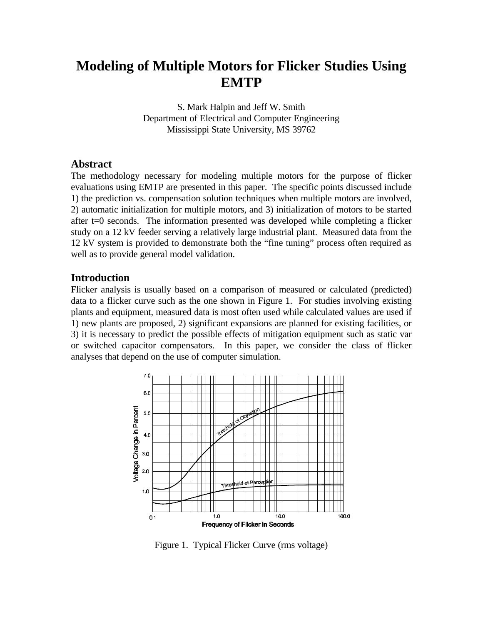## **Modeling of Multiple Motors for Flicker Studies Using EMTP**

S. Mark Halpin and Jeff W. Smith Department of Electrical and Computer Engineering Mississippi State University, MS 39762

#### **Abstract**

The methodology necessary for modeling multiple motors for the purpose of flicker evaluations using EMTP are presented in this paper. The specific points discussed include 1) the prediction vs. compensation solution techniques when multiple motors are involved, 2) automatic initialization for multiple motors, and 3) initialization of motors to be started after t=0 seconds. The information presented was developed while completing a flicker study on a 12 kV feeder serving a relatively large industrial plant. Measured data from the 12 kV system is provided to demonstrate both the "fine tuning" process often required as well as to provide general model validation.

#### **Introduction**

Flicker analysis is usually based on a comparison of measured or calculated (predicted) data to a flicker curve such as the one shown in Figure 1. For studies involving existing plants and equipment, measured data is most often used while calculated values are used if 1) new plants are proposed, 2) significant expansions are planned for existing facilities, or 3) it is necessary to predict the possible effects of mitigation equipment such as static var or switched capacitor compensators. In this paper, we consider the class of flicker analyses that depend on the use of computer simulation.



Figure 1. Typical Flicker Curve (rms voltage)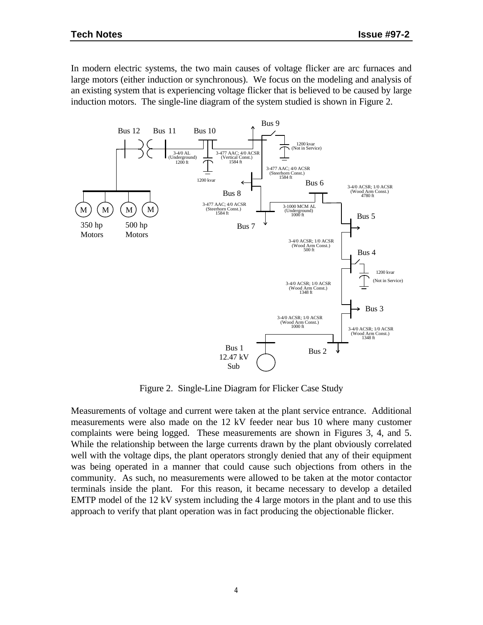In modern electric systems, the two main causes of voltage flicker are arc furnaces and large motors (either induction or synchronous). We focus on the modeling and analysis of an existing system that is experiencing voltage flicker that is believed to be caused by large induction motors. The single-line diagram of the system studied is shown in Figure 2.



Figure 2. Single-Line Diagram for Flicker Case Study

Measurements of voltage and current were taken at the plant service entrance. Additional measurements were also made on the 12 kV feeder near bus 10 where many customer complaints were being logged. These measurements are shown in Figures 3, 4, and 5. While the relationship between the large currents drawn by the plant obviously correlated well with the voltage dips, the plant operators strongly denied that any of their equipment was being operated in a manner that could cause such objections from others in the community. As such, no measurements were allowed to be taken at the motor contactor terminals inside the plant. For this reason, it became necessary to develop a detailed EMTP model of the 12 kV system including the 4 large motors in the plant and to use this approach to verify that plant operation was in fact producing the objectionable flicker.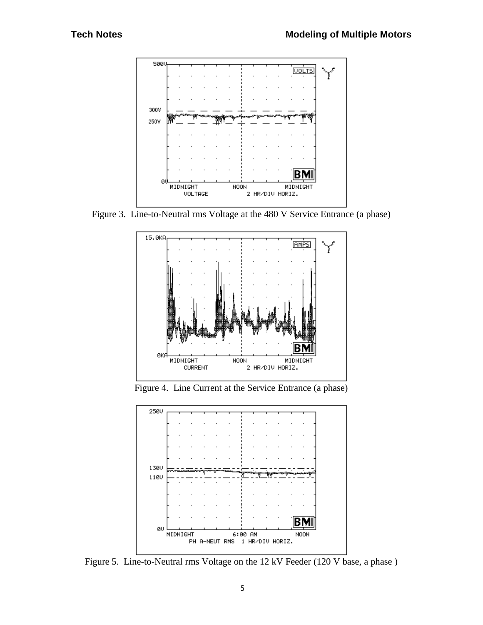

Figure 3. Line-to-Neutral rms Voltage at the 480 V Service Entrance (a phase)



Figure 4. Line Current at the Service Entrance (a phase)



Figure 5. Line-to-Neutral rms Voltage on the 12 kV Feeder (120 V base, a phase )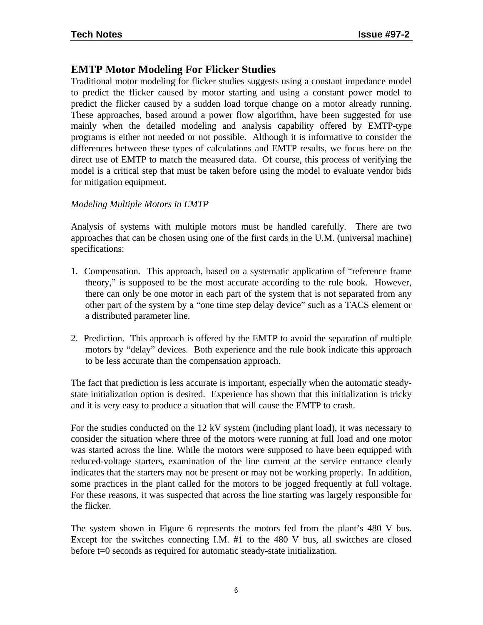### **EMTP Motor Modeling For Flicker Studies**

Traditional motor modeling for flicker studies suggests using a constant impedance model to predict the flicker caused by motor starting and using a constant power model to predict the flicker caused by a sudden load torque change on a motor already running. These approaches, based around a power flow algorithm, have been suggested for use mainly when the detailed modeling and analysis capability offered by EMTP-type programs is either not needed or not possible. Although it is informative to consider the differences between these types of calculations and EMTP results, we focus here on the direct use of EMTP to match the measured data. Of course, this process of verifying the model is a critical step that must be taken before using the model to evaluate vendor bids for mitigation equipment.

#### *Modeling Multiple Motors in EMTP*

Analysis of systems with multiple motors must be handled carefully. There are two approaches that can be chosen using one of the first cards in the U.M. (universal machine) specifications:

- 1. Compensation. This approach, based on a systematic application of "reference frame theory," is supposed to be the most accurate according to the rule book. However, there can only be one motor in each part of the system that is not separated from any other part of the system by a "one time step delay device" such as a TACS element or a distributed parameter line.
- 2. Prediction. This approach is offered by the EMTP to avoid the separation of multiple motors by "delay" devices. Both experience and the rule book indicate this approach to be less accurate than the compensation approach.

The fact that prediction is less accurate is important, especially when the automatic steadystate initialization option is desired. Experience has shown that this initialization is tricky and it is very easy to produce a situation that will cause the EMTP to crash.

For the studies conducted on the 12 kV system (including plant load), it was necessary to consider the situation where three of the motors were running at full load and one motor was started across the line. While the motors were supposed to have been equipped with reduced-voltage starters, examination of the line current at the service entrance clearly indicates that the starters may not be present or may not be working properly. In addition, some practices in the plant called for the motors to be jogged frequently at full voltage. For these reasons, it was suspected that across the line starting was largely responsible for the flicker.

The system shown in Figure 6 represents the motors fed from the plant's 480 V bus. Except for the switches connecting I.M. #1 to the 480 V bus, all switches are closed before t=0 seconds as required for automatic steady-state initialization.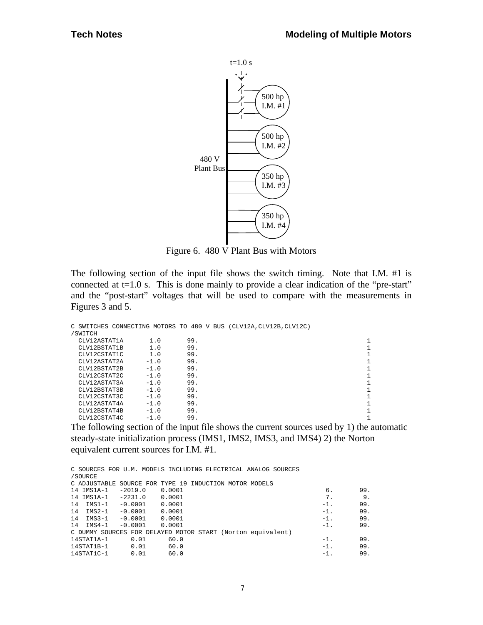

Figure 6. 480 V Plant Bus with Motors

The following section of the input file shows the switch timing. Note that I.M. #1 is connected at  $t=1.0$  s. This is done mainly to provide a clear indication of the "pre-start" and the "post-start" voltages that will be used to compare with the measurements in Figures 3 and 5.

|              |        |     |  | C SWITCHES CONNECTING MOTORS TO 480 V BUS (CLV12A, CLV12B, CLV12C) |  |
|--------------|--------|-----|--|--------------------------------------------------------------------|--|
| /SWITCH      |        |     |  |                                                                    |  |
| CLV12ASTAT1A | 1.0    | 99. |  |                                                                    |  |
| CLV12BSTAT1B | 1.0    | 99. |  |                                                                    |  |
| CLV12CSTAT1C | 1.0    | 99. |  |                                                                    |  |
| CLV12ASTAT2A | $-1.0$ | 99. |  |                                                                    |  |
| CLV12BSTAT2B | $-1.0$ | 99. |  |                                                                    |  |
| CLV12CSTAT2C | $-1.0$ | 99. |  |                                                                    |  |
| CLV12ASTAT3A | $-1.0$ | 99. |  |                                                                    |  |
| CLV12BSTAT3B | $-1.0$ | 99. |  |                                                                    |  |
| CLV12CSTAT3C | $-1.0$ | 99. |  |                                                                    |  |
| CLV12ASTAT4A | $-1.0$ | 99. |  |                                                                    |  |
| CLV12BSTAT4B | $-1.0$ | 99. |  |                                                                    |  |
| CLV12CSTAT4C | $-1.0$ | 99. |  |                                                                    |  |
|              |        |     |  |                                                                    |  |

The following section of the input file shows the current sources used by 1) the automatic steady-state initialization process (IMS1, IMS2, IMS3, and IMS4) 2) the Norton equivalent current sources for I.M. #1.

|                         |                                                        |        |  | C SOURCES FOR U.M. MODELS INCLUDING ELECTRICAL ANALOG SOURCES |        |     |
|-------------------------|--------------------------------------------------------|--------|--|---------------------------------------------------------------|--------|-----|
| /SOURCE                 |                                                        |        |  |                                                               |        |     |
|                         | C ADJUSTABLE SOURCE FOR TYPE 19 INDUCTION MOTOR MODELS |        |  |                                                               |        |     |
| 14 IMS1A-1 -2019.0      |                                                        | 0.0001 |  |                                                               | 6.     | 99. |
| 14 IMS1A-1 -2231.0      |                                                        | 0.0001 |  |                                                               | 7.     | 9.  |
| 14 IMS1-1 -0.0001       |                                                        | 0.0001 |  |                                                               | $-1$ . | 99. |
| 14 IMS2-1 -0.0001       |                                                        | 0.0001 |  |                                                               | $-1$ . | 99. |
| $14$ $1MS3-1$ $-0.0001$ |                                                        | 0.0001 |  |                                                               | $-1$ . | 99. |
| 14 IMS4-1               | $-0.0001$                                              | 0.0001 |  |                                                               | $-1$ . | 99. |
|                         |                                                        |        |  | C DUMMY SOURCES FOR DELAYED MOTOR START (Norton equivalent)   |        |     |
| 14STAT1A-1              | 0.01                                                   | 60.0   |  |                                                               | $-1$ . | 99. |
| 14STAT1B-1              | 0.01                                                   | 60.0   |  |                                                               | $-1$ . | 99. |
| $14$ STAT $1$ C- $1$    | 0.01                                                   | 60.0   |  |                                                               | $-1$ . | 99. |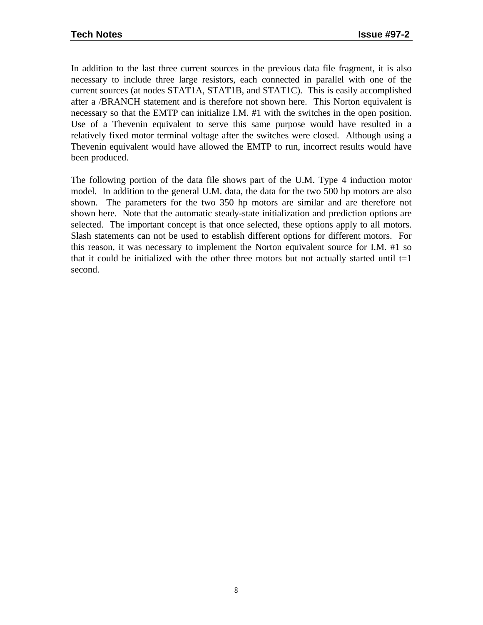In addition to the last three current sources in the previous data file fragment, it is also necessary to include three large resistors, each connected in parallel with one of the current sources (at nodes STAT1A, STAT1B, and STAT1C). This is easily accomplished after a /BRANCH statement and is therefore not shown here. This Norton equivalent is necessary so that the EMTP can initialize I.M. #1 with the switches in the open position. Use of a Thevenin equivalent to serve this same purpose would have resulted in a relatively fixed motor terminal voltage after the switches were closed. Although using a Thevenin equivalent would have allowed the EMTP to run, incorrect results would have been produced.

The following portion of the data file shows part of the U.M. Type 4 induction motor model. In addition to the general U.M. data, the data for the two 500 hp motors are also shown. The parameters for the two 350 hp motors are similar and are therefore not shown here. Note that the automatic steady-state initialization and prediction options are selected. The important concept is that once selected, these options apply to all motors. Slash statements can not be used to establish different options for different motors. For this reason, it was necessary to implement the Norton equivalent source for I.M. #1 so that it could be initialized with the other three motors but not actually started until  $t=1$ second.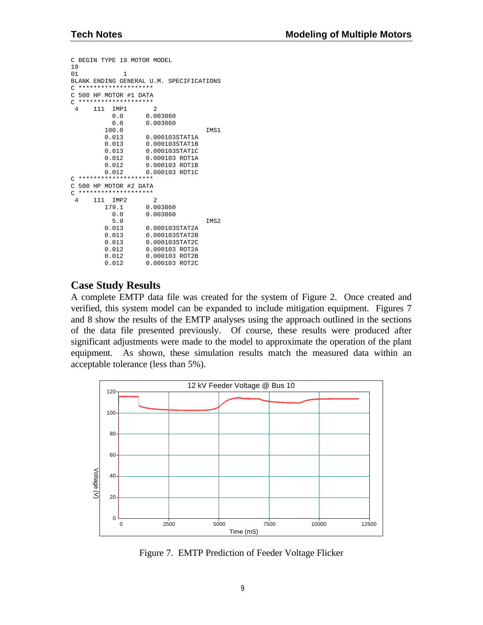```
C BEGIN TYPE 19 MOTOR MODEL
19
01 1
BLANK ENDING GENERAL U.M. SPECIFICATIONS
C ********************
C 500 HP MOTOR #1 DATA
C ********************<br>4 111 TMP1
      111 IMP1 2<br>0.0 0.0
              0.0 0.003860<br>0.0 0.003860
                          0.0 0.003860
           100.0 IMS1<br>0.013 0.000103STAT1A
           0.013 0.000103STAT1A<br>0.013 0.000103STAT1B
                          0.013 0.000103STAT1B
           0.013 0.000103STAT1C<br>0.012 0.000103 ROT1A
                         0.000103 ROT1A
           0.012 0.000103 ROT1B<br>0.012 0.000103 ROT1C
                         0.012 0.000103 ROT1C
C ********************
C 500 HP MOTOR #2 DATA
C ********************<br>4 111 IMP2 2
       111 IMP2<br>179.1
               179.1 0.003860
              0.0 0.003860<br>5.0
 5.0 IMS2
           0.013 0.000103STAT2A<br>0.013 0.000103STAT2B
           0.013 0.000103STAT2B<br>0.013 0.000103STAT2C
                          0.013 0.000103STAT2C
           0.012 0.000103 ROT2A<br>0.012 0.000103 ROT2B
           0.012 0.000103 ROT2B<br>0.012 0.000103 ROT2C
                         0.000103 ROT2C
```
### **Case Study Results**

A complete EMTP data file was created for the system of Figure 2. Once created and verified, this system model can be expanded to include mitigation equipment. Figures 7 and 8 show the results of the EMTP analyses using the approach outlined in the sections of the data file presented previously. Of course, these results were produced after significant adjustments were made to the model to approximate the operation of the plant equipment. As shown, these simulation results match the measured data within an acceptable tolerance (less than 5%).



Figure 7. EMTP Prediction of Feeder Voltage Flicker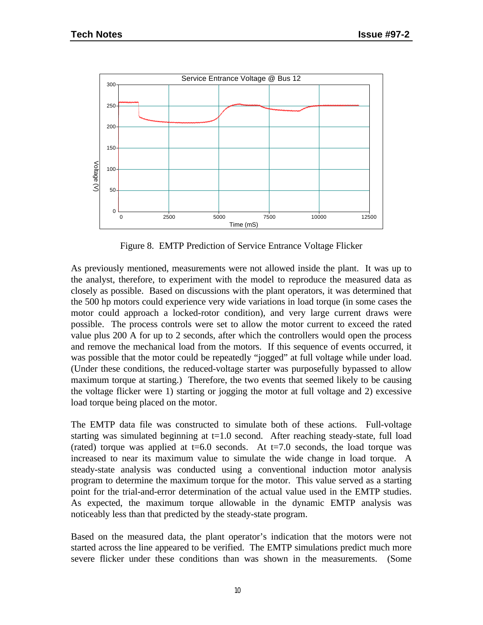

Figure 8. EMTP Prediction of Service Entrance Voltage Flicker

As previously mentioned, measurements were not allowed inside the plant. It was up to the analyst, therefore, to experiment with the model to reproduce the measured data as closely as possible. Based on discussions with the plant operators, it was determined that the 500 hp motors could experience very wide variations in load torque (in some cases the motor could approach a locked-rotor condition), and very large current draws were possible. The process controls were set to allow the motor current to exceed the rated value plus 200 A for up to 2 seconds, after which the controllers would open the process and remove the mechanical load from the motors. If this sequence of events occurred, it was possible that the motor could be repeatedly "jogged" at full voltage while under load. (Under these conditions, the reduced-voltage starter was purposefully bypassed to allow maximum torque at starting.) Therefore, the two events that seemed likely to be causing the voltage flicker were 1) starting or jogging the motor at full voltage and 2) excessive load torque being placed on the motor.

The EMTP data file was constructed to simulate both of these actions. Full-voltage starting was simulated beginning at  $t=1.0$  second. After reaching steady-state, full load (rated) torque was applied at  $t=6.0$  seconds. At  $t=7.0$  seconds, the load torque was increased to near its maximum value to simulate the wide change in load torque. A steady-state analysis was conducted using a conventional induction motor analysis program to determine the maximum torque for the motor. This value served as a starting point for the trial-and-error determination of the actual value used in the EMTP studies. As expected, the maximum torque allowable in the dynamic EMTP analysis was noticeably less than that predicted by the steady-state program.

Based on the measured data, the plant operator's indication that the motors were not started across the line appeared to be verified. The EMTP simulations predict much more severe flicker under these conditions than was shown in the measurements. (Some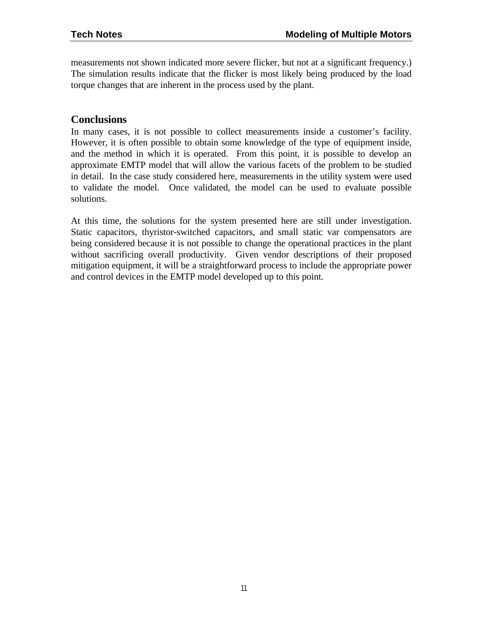measurements not shown indicated more severe flicker, but not at a significant frequency.) The simulation results indicate that the flicker is most likely being produced by the load torque changes that are inherent in the process used by the plant.

### **Conclusions**

In many cases, it is not possible to collect measurements inside a customer's facility. However, it is often possible to obtain some knowledge of the type of equipment inside, and the method in which it is operated. From this point, it is possible to develop an approximate EMTP model that will allow the various facets of the problem to be studied in detail. In the case study considered here, measurements in the utility system were used to validate the model. Once validated, the model can be used to evaluate possible solutions.

At this time, the solutions for the system presented here are still under investigation. Static capacitors, thyristor-switched capacitors, and small static var compensators are being considered because it is not possible to change the operational practices in the plant without sacrificing overall productivity. Given vendor descriptions of their proposed mitigation equipment, it will be a straightforward process to include the appropriate power and control devices in the EMTP model developed up to this point.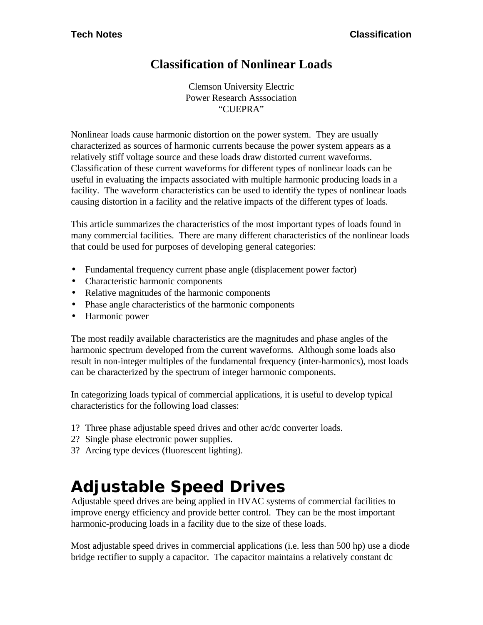### **Classification of Nonlinear Loads**

Clemson University Electric Power Research Asssociation "CUEPRA"

Nonlinear loads cause harmonic distortion on the power system. They are usually characterized as sources of harmonic currents because the power system appears as a relatively stiff voltage source and these loads draw distorted current waveforms. Classification of these current waveforms for different types of nonlinear loads can be useful in evaluating the impacts associated with multiple harmonic producing loads in a facility. The waveform characteristics can be used to identify the types of nonlinear loads causing distortion in a facility and the relative impacts of the different types of loads.

This article summarizes the characteristics of the most important types of loads found in many commercial facilities. There are many different characteristics of the nonlinear loads that could be used for purposes of developing general categories:

- Fundamental frequency current phase angle (displacement power factor)
- Characteristic harmonic components
- Relative magnitudes of the harmonic components
- Phase angle characteristics of the harmonic components
- Harmonic power

The most readily available characteristics are the magnitudes and phase angles of the harmonic spectrum developed from the current waveforms. Although some loads also result in non-integer multiples of the fundamental frequency (inter-harmonics), most loads can be characterized by the spectrum of integer harmonic components.

In categorizing loads typical of commercial applications, it is useful to develop typical characteristics for the following load classes:

- 1? Three phase adjustable speed drives and other ac/dc converter loads.
- 2? Single phase electronic power supplies.
- 3? Arcing type devices (fluorescent lighting).

# *Adjustable Speed Drives*

Adjustable speed drives are being applied in HVAC systems of commercial facilities to improve energy efficiency and provide better control. They can be the most important harmonic-producing loads in a facility due to the size of these loads.

Most adjustable speed drives in commercial applications (i.e. less than 500 hp) use a diode bridge rectifier to supply a capacitor. The capacitor maintains a relatively constant dc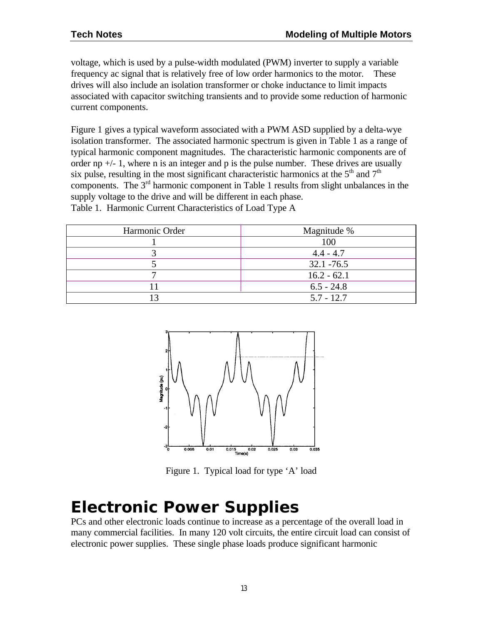voltage, which is used by a pulse-width modulated (PWM) inverter to supply a variable frequency ac signal that is relatively free of low order harmonics to the motor. These drives will also include an isolation transformer or choke inductance to limit impacts associated with capacitor switching transients and to provide some reduction of harmonic current components.

Figure 1 gives a typical waveform associated with a PWM ASD supplied by a delta-wye isolation transformer. The associated harmonic spectrum is given in Table 1 as a range of typical harmonic component magnitudes. The characteristic harmonic components are of order np  $+/- 1$ , where n is an integer and p is the pulse number. These drives are usually six pulse, resulting in the most significant characteristic harmonics at the  $5<sup>th</sup>$  and  $7<sup>th</sup>$ components. The  $3<sup>rd</sup>$  harmonic component in Table 1 results from slight unbalances in the supply voltage to the drive and will be different in each phase. Table 1. Harmonic Current Characteristics of Load Type A

| Harmonic Order | Magnitude %   |
|----------------|---------------|
|                | 100           |
|                | $4.4 - 4.7$   |
|                | $32.1 - 76.5$ |
|                | $16.2 - 62.1$ |
|                | $6.5 - 24.8$  |
|                | $5.7 - 12.7$  |



Figure 1. Typical load for type 'A' load

# *Electronic Power Supplies*

PCs and other electronic loads continue to increase as a percentage of the overall load in many commercial facilities. In many 120 volt circuits, the entire circuit load can consist of electronic power supplies. These single phase loads produce significant harmonic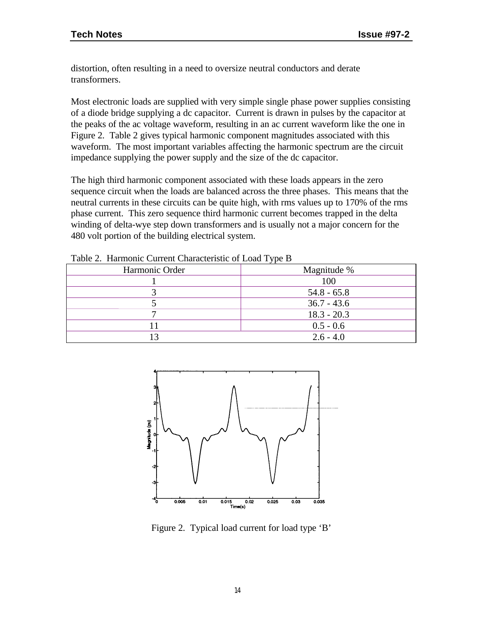distortion, often resulting in a need to oversize neutral conductors and derate transformers.

Most electronic loads are supplied with very simple single phase power supplies consisting of a diode bridge supplying a dc capacitor. Current is drawn in pulses by the capacitor at the peaks of the ac voltage waveform, resulting in an ac current waveform like the one in Figure 2. Table 2 gives typical harmonic component magnitudes associated with this waveform. The most important variables affecting the harmonic spectrum are the circuit impedance supplying the power supply and the size of the dc capacitor.

The high third harmonic component associated with these loads appears in the zero sequence circuit when the loads are balanced across the three phases. This means that the neutral currents in these circuits can be quite high, with rms values up to 170% of the rms phase current. This zero sequence third harmonic current becomes trapped in the delta winding of delta-wye step down transformers and is usually not a major concern for the 480 volt portion of the building electrical system.

| $\cdot$ $\cdot$ |
|-----------------|
| Magnitude %     |
| 100             |
| $54.8 - 65.8$   |
| $36.7 - 43.6$   |
| $18.3 - 20.3$   |
| $0.5 - 0.6$     |
| $2.6 - 4.0$     |
|                 |

Table 2. Harmonic Current Characteristic of Load Type B



Figure 2. Typical load current for load type 'B'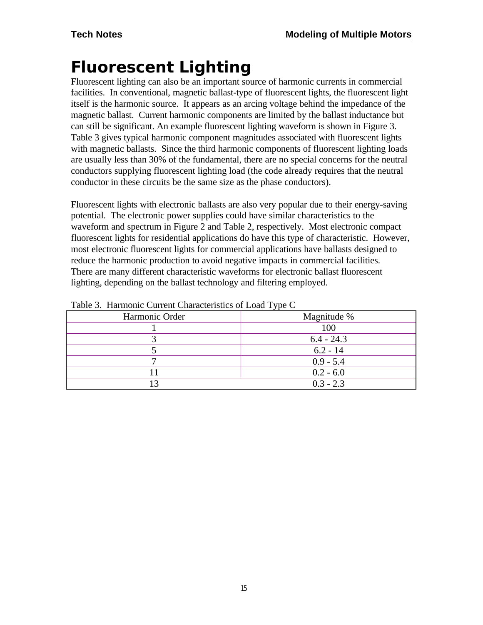# *Fluorescent Lighting*

Fluorescent lighting can also be an important source of harmonic currents in commercial facilities. In conventional, magnetic ballast-type of fluorescent lights, the fluorescent light itself is the harmonic source. It appears as an arcing voltage behind the impedance of the magnetic ballast. Current harmonic components are limited by the ballast inductance but can still be significant. An example fluorescent lighting waveform is shown in Figure 3. Table 3 gives typical harmonic component magnitudes associated with fluorescent lights with magnetic ballasts. Since the third harmonic components of fluorescent lighting loads are usually less than 30% of the fundamental, there are no special concerns for the neutral conductors supplying fluorescent lighting load (the code already requires that the neutral conductor in these circuits be the same size as the phase conductors).

Fluorescent lights with electronic ballasts are also very popular due to their energy-saving potential. The electronic power supplies could have similar characteristics to the waveform and spectrum in Figure 2 and Table 2, respectively. Most electronic compact fluorescent lights for residential applications do have this type of characteristic. However, most electronic fluorescent lights for commercial applications have ballasts designed to reduce the harmonic production to avoid negative impacts in commercial facilities. There are many different characteristic waveforms for electronic ballast fluorescent lighting, depending on the ballast technology and filtering employed.

| $\cdot$ $\cdot$ |
|-----------------|
| Magnitude %     |
| 100             |
| $6.4 - 24.3$    |
| $6.2 - 14$      |
| $0.9 - 5.4$     |
| $0.2 - 6.0$     |
| $0.3 - 2.3$     |
|                 |

Table 3. Harmonic Current Characteristics of Load Type C